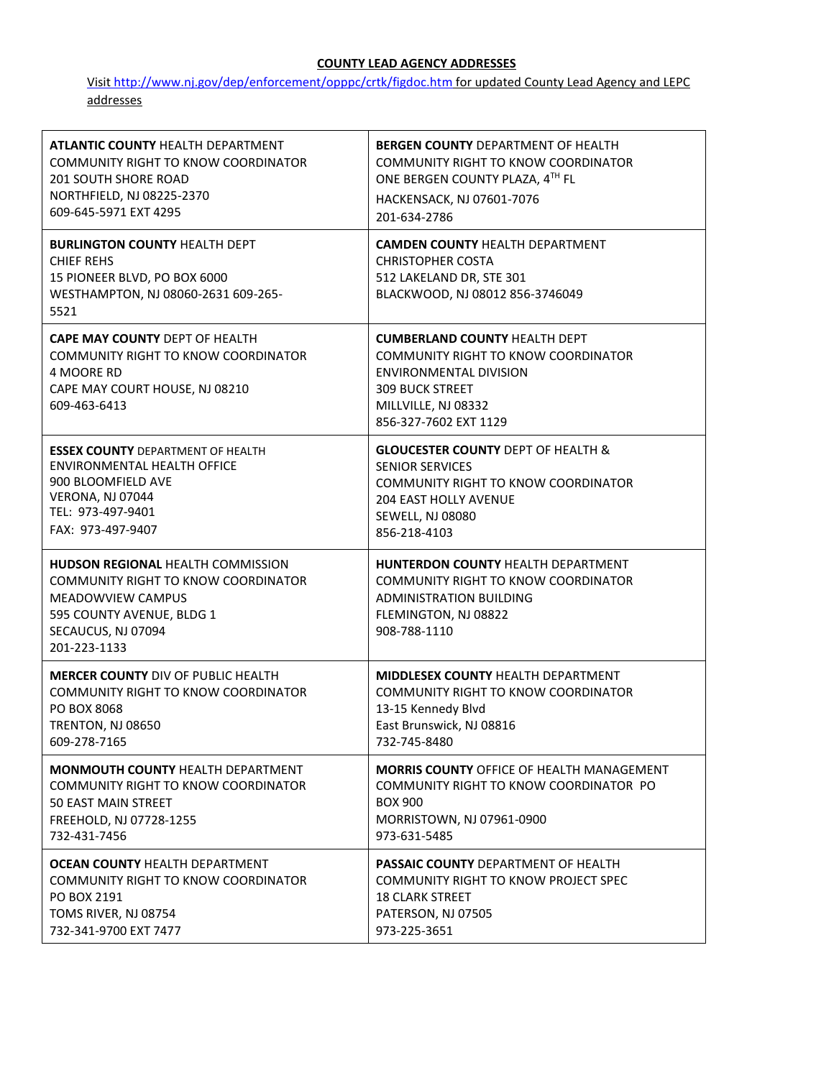## **COUNTY LEAD AGENCY ADDRESSES**

Visi[t http://www.nj.gov/dep/enforcement/opppc/crtk/figdoc.htm](http://www.nj.gov/dep/enforcement/opppc/crtk/figdoc.htm) [for](http://www.nj.gov/dep/enforcement/opppc/crtk/figdoc.htm) updated County Lead Agency and LEPC addresses

| <b>ATLANTIC COUNTY HEALTH DEPARTMENT</b>                                                                                                                                              | <b>BERGEN COUNTY DEPARTMENT OF HEALTH</b>                                                                                                                                       |
|---------------------------------------------------------------------------------------------------------------------------------------------------------------------------------------|---------------------------------------------------------------------------------------------------------------------------------------------------------------------------------|
| <b>COMMUNITY RIGHT TO KNOW COORDINATOR</b>                                                                                                                                            | <b>COMMUNITY RIGHT TO KNOW COORDINATOR</b>                                                                                                                                      |
| <b>201 SOUTH SHORE ROAD</b>                                                                                                                                                           | ONE BERGEN COUNTY PLAZA, 4TH FL                                                                                                                                                 |
| NORTHFIELD, NJ 08225-2370                                                                                                                                                             | HACKENSACK, NJ 07601-7076                                                                                                                                                       |
| 609-645-5971 EXT 4295                                                                                                                                                                 | 201-634-2786                                                                                                                                                                    |
| <b>BURLINGTON COUNTY HEALTH DEPT</b><br><b>CHIEF REHS</b><br>15 PIONEER BLVD, PO BOX 6000<br>WESTHAMPTON, NJ 08060-2631 609-265-<br>5521                                              | <b>CAMDEN COUNTY HEALTH DEPARTMENT</b><br><b>CHRISTOPHER COSTA</b><br>512 LAKELAND DR, STE 301<br>BLACKWOOD, NJ 08012 856-3746049                                               |
| <b>CAPE MAY COUNTY DEPT OF HEALTH</b><br>COMMUNITY RIGHT TO KNOW COORDINATOR<br>4 MOORE RD<br>CAPE MAY COURT HOUSE, NJ 08210<br>609-463-6413                                          | <b>CUMBERLAND COUNTY HEALTH DEPT</b><br>COMMUNITY RIGHT TO KNOW COORDINATOR<br>ENVIRONMENTAL DIVISION<br><b>309 BUCK STREET</b><br>MILLVILLE, NJ 08332<br>856-327-7602 EXT 1129 |
| <b>ESSEX COUNTY DEPARTMENT OF HEALTH</b>                                                                                                                                              | <b>GLOUCESTER COUNTY DEPT OF HEALTH &amp;</b>                                                                                                                                   |
| <b>ENVIRONMENTAL HEALTH OFFICE</b>                                                                                                                                                    | <b>SENIOR SERVICES</b>                                                                                                                                                          |
| 900 BLOOMFIELD AVE                                                                                                                                                                    | COMMUNITY RIGHT TO KNOW COORDINATOR                                                                                                                                             |
| VERONA, NJ 07044                                                                                                                                                                      | <b>204 EAST HOLLY AVENUE</b>                                                                                                                                                    |
| TEL: 973-497-9401                                                                                                                                                                     | <b>SEWELL, NJ 08080</b>                                                                                                                                                         |
| FAX: 973-497-9407                                                                                                                                                                     | 856-218-4103                                                                                                                                                                    |
| <b>HUDSON REGIONAL HEALTH COMMISSION</b><br><b>COMMUNITY RIGHT TO KNOW COORDINATOR</b><br><b>MEADOWVIEW CAMPUS</b><br>595 COUNTY AVENUE, BLDG 1<br>SECAUCUS, NJ 07094<br>201-223-1133 | HUNTERDON COUNTY HEALTH DEPARTMENT<br>COMMUNITY RIGHT TO KNOW COORDINATOR<br><b>ADMINISTRATION BUILDING</b><br>FLEMINGTON, NJ 08822<br>908-788-1110                             |
| <b>MERCER COUNTY DIV OF PUBLIC HEALTH</b>                                                                                                                                             | <b>MIDDLESEX COUNTY HEALTH DEPARTMENT</b>                                                                                                                                       |
| COMMUNITY RIGHT TO KNOW COORDINATOR                                                                                                                                                   | COMMUNITY RIGHT TO KNOW COORDINATOR                                                                                                                                             |
| PO BOX 8068                                                                                                                                                                           | 13-15 Kennedy Blvd                                                                                                                                                              |
| <b>TRENTON, NJ 08650</b>                                                                                                                                                              | East Brunswick, NJ 08816                                                                                                                                                        |
| 609-278-7165                                                                                                                                                                          | 732-745-8480                                                                                                                                                                    |
| <b>MONMOUTH COUNTY HEALTH DEPARTMENT</b>                                                                                                                                              | <b>MORRIS COUNTY OFFICE OF HEALTH MANAGEMENT</b>                                                                                                                                |
| <b>COMMUNITY RIGHT TO KNOW COORDINATOR</b>                                                                                                                                            | COMMUNITY RIGHT TO KNOW COORDINATOR PO                                                                                                                                          |
| 50 EAST MAIN STREET                                                                                                                                                                   | <b>BOX 900</b>                                                                                                                                                                  |
| FREEHOLD, NJ 07728-1255                                                                                                                                                               | MORRISTOWN, NJ 07961-0900                                                                                                                                                       |
| 732-431-7456                                                                                                                                                                          | 973-631-5485                                                                                                                                                                    |
| <b>OCEAN COUNTY HEALTH DEPARTMENT</b>                                                                                                                                                 | <b>PASSAIC COUNTY DEPARTMENT OF HEALTH</b>                                                                                                                                      |
| <b>COMMUNITY RIGHT TO KNOW COORDINATOR</b>                                                                                                                                            | COMMUNITY RIGHT TO KNOW PROJECT SPEC                                                                                                                                            |
| PO BOX 2191                                                                                                                                                                           | <b>18 CLARK STREET</b>                                                                                                                                                          |
| TOMS RIVER, NJ 08754                                                                                                                                                                  | PATERSON, NJ 07505                                                                                                                                                              |
| 732-341-9700 EXT 7477                                                                                                                                                                 | 973-225-3651                                                                                                                                                                    |